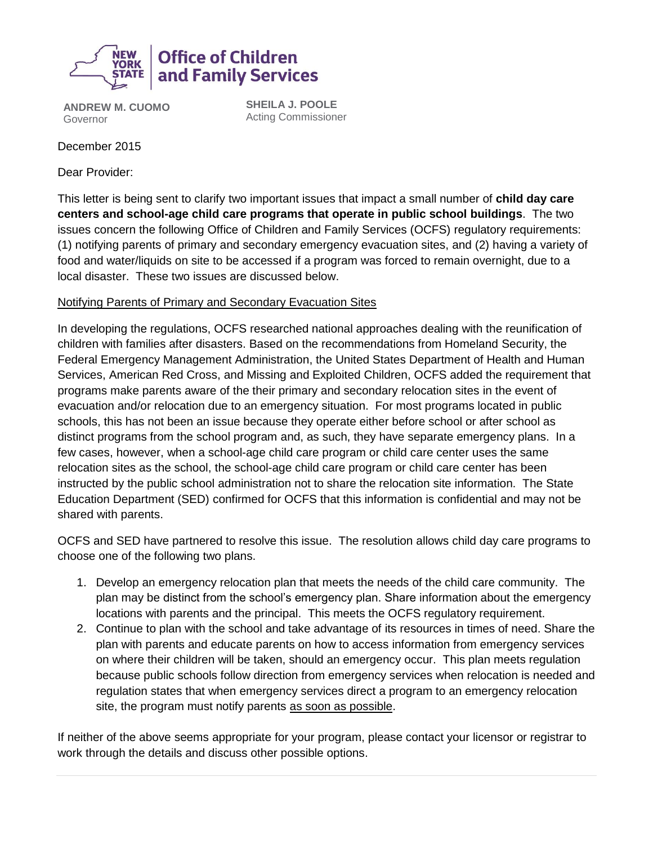

**ANDREW M. CUOMO** Governor

**SHEILA J. POOLE** Acting Commissioner

December 2015

Dear Provider:

This letter is being sent to clarify two important issues that impact a small number of **child day care centers and school-age child care programs that operate in public school buildings**. The two issues concern the following Office of Children and Family Services (OCFS) regulatory requirements: (1) notifying parents of primary and secondary emergency evacuation sites, and (2) having a variety of food and water/liquids on site to be accessed if a program was forced to remain overnight, due to a local disaster. These two issues are discussed below.

## Notifying Parents of Primary and Secondary Evacuation Sites

In developing the regulations, OCFS researched national approaches dealing with the reunification of children with families after disasters. Based on the recommendations from Homeland Security, the Federal Emergency Management Administration, the United States Department of Health and Human Services, American Red Cross, and Missing and Exploited Children, OCFS added the requirement that programs make parents aware of the their primary and secondary relocation sites in the event of evacuation and/or relocation due to an emergency situation. For most programs located in public schools, this has not been an issue because they operate either before school or after school as distinct programs from the school program and, as such, they have separate emergency plans. In a few cases, however, when a school-age child care program or child care center uses the same relocation sites as the school, the school-age child care program or child care center has been instructed by the public school administration not to share the relocation site information. The State Education Department (SED) confirmed for OCFS that this information is confidential and may not be shared with parents.

OCFS and SED have partnered to resolve this issue. The resolution allows child day care programs to choose one of the following two plans.

- 1. Develop an emergency relocation plan that meets the needs of the child care community. The plan may be distinct from the school's emergency plan. Share information about the emergency locations with parents and the principal. This meets the OCFS regulatory requirement.
- 2. Continue to plan with the school and take advantage of its resources in times of need. Share the plan with parents and educate parents on how to access information from emergency services on where their children will be taken, should an emergency occur. This plan meets regulation because public schools follow direction from emergency services when relocation is needed and regulation states that when emergency services direct a program to an emergency relocation site, the program must notify parents as soon as possible.

If neither of the above seems appropriate for your program, please contact your licensor or registrar to work through the details and discuss other possible options.